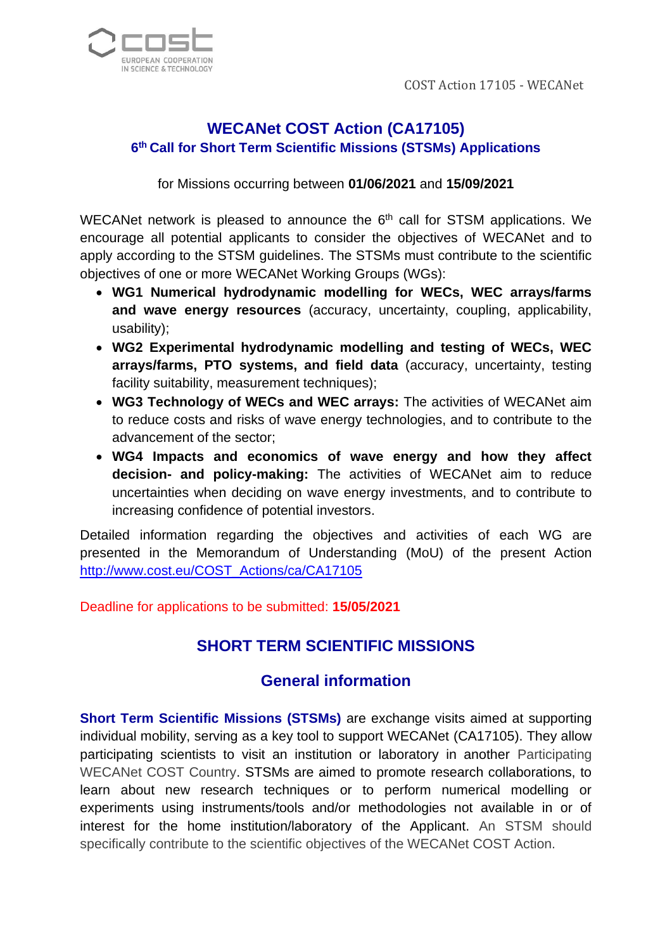COST Action 17105 - WECANet



## **WECANet COST Action (CA17105) 6 th Call for Short Term Scientific Missions (STSMs) Applications**

for Missions occurring between **01/06/2021** and **15/09/2021**

WECANet network is pleased to announce the  $6<sup>th</sup>$  call for STSM applications. We encourage all potential applicants to consider the objectives of WECANet and to apply according to the STSM guidelines. The STSMs must contribute to the scientific objectives of one or more WECANet Working Groups (WGs):

- **WG1 Numerical hydrodynamic modelling for WECs, WEC arrays/farms and wave energy resources** (accuracy, uncertainty, coupling, applicability, usability);
- **WG2 Experimental hydrodynamic modelling and testing of WECs, WEC arrays/farms, PTO systems, and field data** (accuracy, uncertainty, testing facility suitability, measurement techniques);
- **WG3 Technology of WECs and WEC arrays:** The activities of WECANet aim to reduce costs and risks of wave energy technologies, and to contribute to the advancement of the sector;
- **WG4 Impacts and economics of wave energy and how they affect decision- and policy-making:** The activities of WECANet aim to reduce uncertainties when deciding on wave energy investments, and to contribute to increasing confidence of potential investors.

Detailed information regarding the objectives and activities of each WG are presented in the Memorandum of Understanding (MoU) of the present Action [http://www.cost.eu/COST\\_Actions/ca/CA17105](http://www.cost.eu/COST_Actions/ca/CA17105)

Deadline for applications to be submitted: **15/05/2021**

## **SHORT TERM SCIENTIFIC MISSIONS**

## **General information**

**Short Term Scientific Missions (STSMs)** are exchange visits aimed at supporting individual mobility, serving as a key tool to support WECANet (CA17105). They allow participating scientists to visit an institution or laboratory in another Participating WECANet COST Country. STSMs are aimed to promote research collaborations, to learn about new research techniques or to perform numerical modelling or experiments using instruments/tools and/or methodologies not available in or of interest for the home institution/laboratory of the Applicant. An STSM should specifically contribute to the scientific objectives of the WECANet COST Action.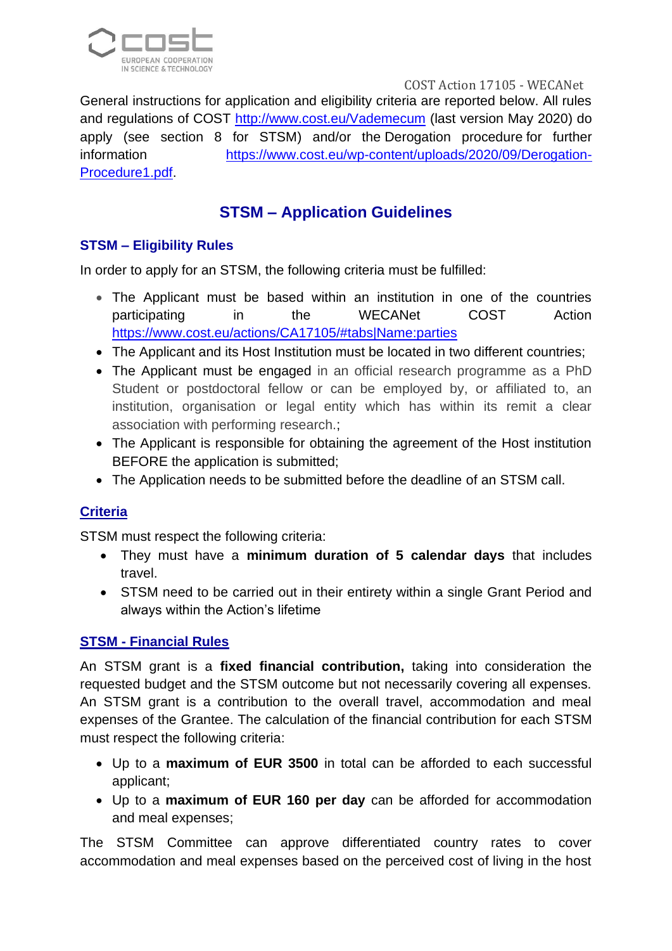

COST Action 17105 - WECANet

General instructions for application and eligibility criteria are reported below. All rules and regulations of COST<http://www.cost.eu/Vademecum> (last version May 2020) do apply (see section 8 for STSM) and/or the Derogation procedure for further information [https://www.cost.eu/wp-content/uploads/2020/09/Derogation-](https://www.cost.eu/wp-content/uploads/2020/09/Derogation-Procedure1.pdf)[Procedure1.pdf.](https://www.cost.eu/wp-content/uploads/2020/09/Derogation-Procedure1.pdf)

# **STSM – Application Guidelines**

#### **STSM – Eligibility Rules**

In order to apply for an STSM, the following criteria must be fulfilled:

- The Applicant must be based within an institution in one of the countries participating in the WECANet COST Action <https://www.cost.eu/actions/CA17105/#tabs|Name:parties>
- The Applicant and its Host Institution must be located in two different countries;
- The Applicant must be engaged in an official research programme as a PhD Student or postdoctoral fellow or can be employed by, or affiliated to, an institution, organisation or legal entity which has within its remit a clear association with performing research.;
- The Applicant is responsible for obtaining the agreement of the Host institution BEFORE the application is submitted;
- The Application needs to be submitted before the deadline of an STSM call.

## **Criteria**

STSM must respect the following criteria:

- They must have a **minimum duration of 5 calendar days** that includes travel.
- STSM need to be carried out in their entirety within a single Grant Period and always within the Action's lifetime

#### **STSM - Financial Rules**

An STSM grant is a **fixed financial contribution,** taking into consideration the requested budget and the STSM outcome but not necessarily covering all expenses. An STSM grant is a contribution to the overall travel, accommodation and meal expenses of the Grantee. The calculation of the financial contribution for each STSM must respect the following criteria:

- Up to a **maximum of EUR 3500** in total can be afforded to each successful applicant;
- Up to a **maximum of EUR 160 per day** can be afforded for accommodation and meal expenses;

The STSM Committee can approve differentiated country rates to cover accommodation and meal expenses based on the perceived cost of living in the host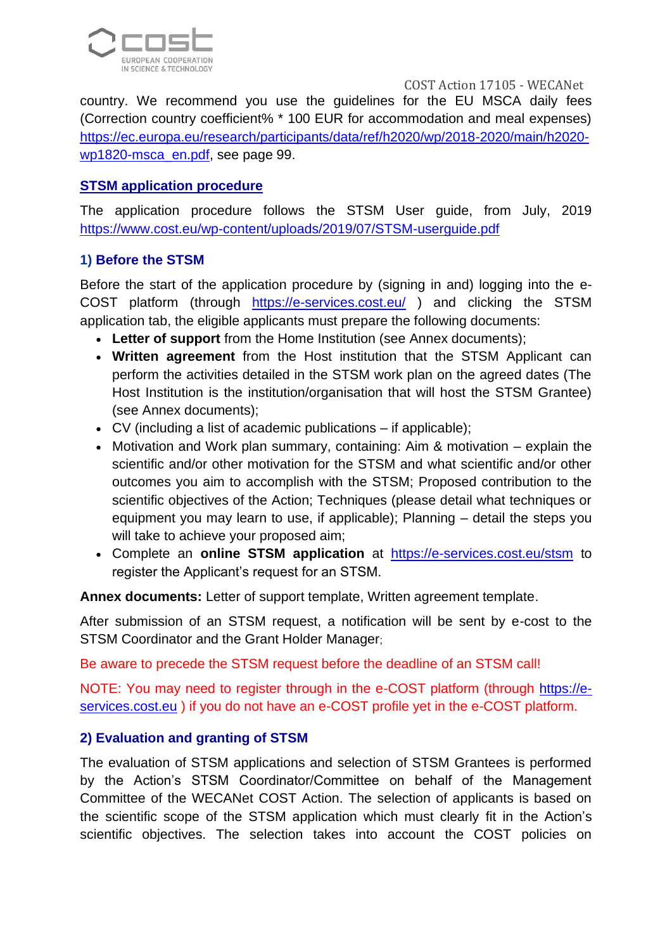

COST Action 17105 - WECANet

country. We recommend you use the guidelines for the EU MSCA daily fees (Correction country coefficient% \* 100 EUR for accommodation and meal expenses) [https://ec.europa.eu/research/participants/data/ref/h2020/wp/2018-2020/main/h2020](https://ec.europa.eu/research/participants/data/ref/h2020/wp/2018-2020/main/h2020-wp1820-msca_en.pdf) [wp1820-msca\\_en.pdf,](https://ec.europa.eu/research/participants/data/ref/h2020/wp/2018-2020/main/h2020-wp1820-msca_en.pdf) see page 99.

#### **STSM application procedure**

The application procedure follows the STSM User guide, from July, 2019 <https://www.cost.eu/wp-content/uploads/2019/07/STSM-userguide.pdf>

#### **1) Before the STSM**

Before the start of the application procedure by (signing in and) logging into the e-COST platform (through <https://e-services.cost.eu/> ) and clicking the STSM application tab, the eligible applicants must prepare the following documents:

- **Letter of support** from the Home Institution (see Annex documents);
- **Written agreement** from the Host institution that the STSM Applicant can perform the activities detailed in the STSM work plan on the agreed dates (The Host Institution is the institution/organisation that will host the STSM Grantee) (see Annex documents);
- CV (including a list of academic publications if applicable);
- Motivation and Work plan summary, containing: Aim & motivation explain the scientific and/or other motivation for the STSM and what scientific and/or other outcomes you aim to accomplish with the STSM; Proposed contribution to the scientific objectives of the Action; Techniques (please detail what techniques or equipment you may learn to use, if applicable); Planning – detail the steps you will take to achieve your proposed aim;
- Complete an **online STSM application** at <https://e-services.cost.eu/stsm> to register the Applicant's request for an STSM.

**Annex documents:** Letter of support template, Written agreement template.

After submission of an STSM request, a notification will be sent by e-cost to the STSM Coordinator and the Grant Holder Manager;

Be aware to precede the STSM request before the deadline of an STSM call!

NOTE: You may need to register through in the e-COST platform (through [https://e](https://e-services.cost.eu/)[services.cost.eu](https://e-services.cost.eu/) ) if you do not have an e-COST profile yet in the e-COST platform.

#### **2) Evaluation and granting of STSM**

The evaluation of STSM applications and selection of STSM Grantees is performed by the Action's STSM Coordinator/Committee on behalf of the Management Committee of the WECANet COST Action. The selection of applicants is based on the scientific scope of the STSM application which must clearly fit in the Action's scientific objectives. The selection takes into account the COST policies on